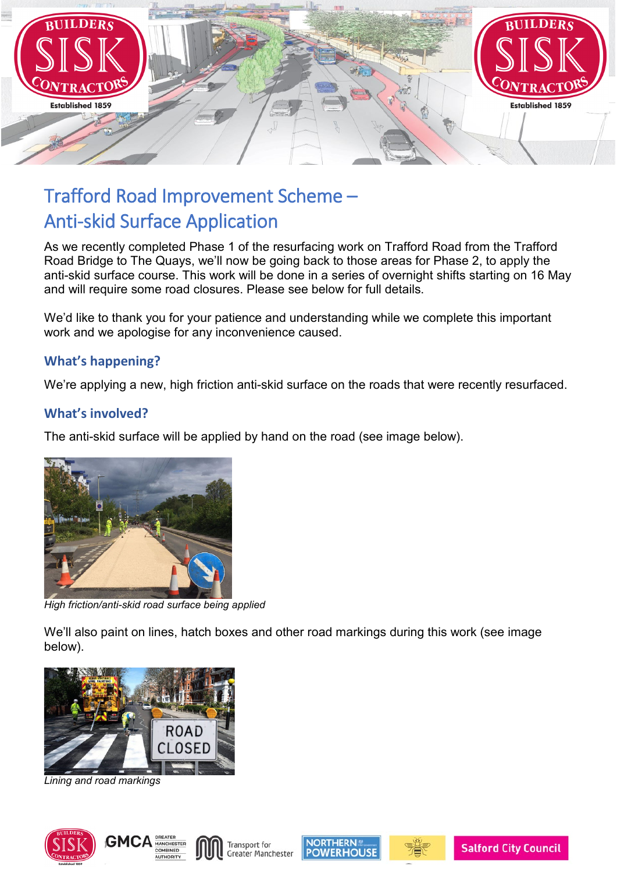

# Trafford Road Improvement Scheme – Anti-skid Surface Application

As we recently completed Phase 1 of the resurfacing work on Trafford Road from the Trafford Road Bridge to The Quays, we'll now be going back to those areas for Phase 2, to apply the anti-skid surface course. This work will be done in a series of overnight shifts starting on 16 May and will require some road closures. Please see below for full details.

We'd like to thank you for your patience and understanding while we complete this important work and we apologise for any inconvenience caused.

## **What's happening?**

We're applying a new, high friction anti-skid surface on the roads that were recently resurfaced.

#### **What's involved?**

The anti-skid surface will be applied by hand on the road (see image below).



*High friction/anti-skid road surface being applied* 

We'll also paint on lines, hatch boxes and other road markings during this work (see image below).



*Lining and road markings* 









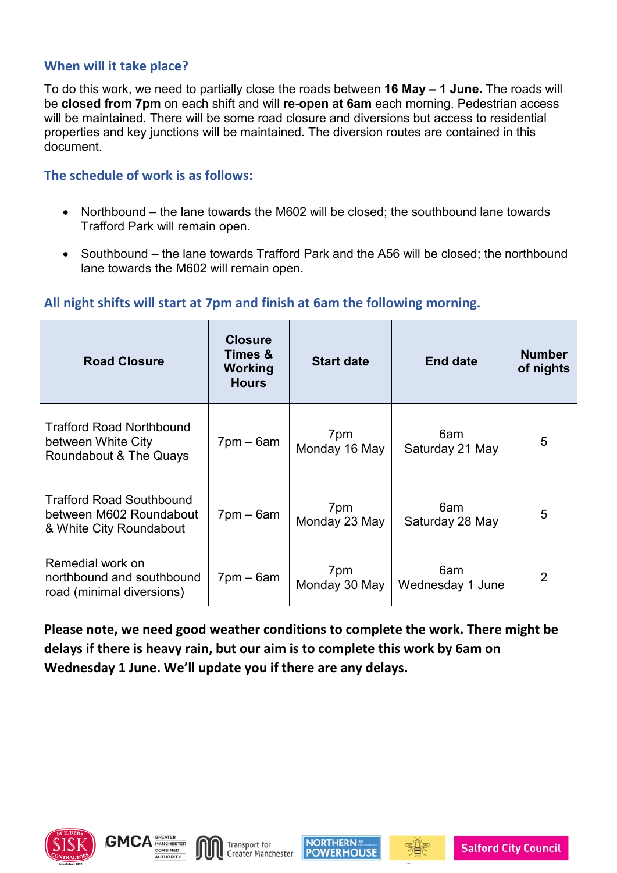#### **When will it take place?**

To do this work, we need to partially close the roads between **16 May – 1 June.** The roads will be **closed from 7pm** on each shift and will **re-open at 6am** each morning. Pedestrian access will be maintained. There will be some road closure and diversions but access to residential properties and key junctions will be maintained. The diversion routes are contained in this document.

#### **The schedule of work is as follows:**

- Northbound the lane towards the M602 will be closed; the southbound lane towards Trafford Park will remain open.
- Southbound the lane towards Trafford Park and the A56 will be closed; the northbound lane towards the M602 will remain open.

## **All night shifts will start at 7pm and finish at 6am the following morning.**

| <b>Road Closure</b>                                                                   | <b>Closure</b><br>Times &<br>Working<br><b>Hours</b> | <b>Start date</b>    | <b>End date</b>         | <b>Number</b><br>of nights |
|---------------------------------------------------------------------------------------|------------------------------------------------------|----------------------|-------------------------|----------------------------|
| <b>Trafford Road Northbound</b><br>between White City<br>Roundabout & The Quays       | $7$ pm – 6am                                         | 7pm<br>Monday 16 May | 6am<br>Saturday 21 May  | 5                          |
| <b>Trafford Road Southbound</b><br>between M602 Roundabout<br>& White City Roundabout | $7$ pm – 6am                                         | 7pm<br>Monday 23 May | 6am<br>Saturday 28 May  | 5                          |
| Remedial work on<br>northbound and southbound<br>road (minimal diversions)            | $7$ pm – 6am                                         | 7pm<br>Monday 30 May | 6am<br>Wednesday 1 June | 2                          |

**Please note, we need good weather conditions to complete the work. There might be delays if there is heavy rain, but our aim is to complete this work by 6am on Wednesday 1 June. We'll update you if there are any delays.** 







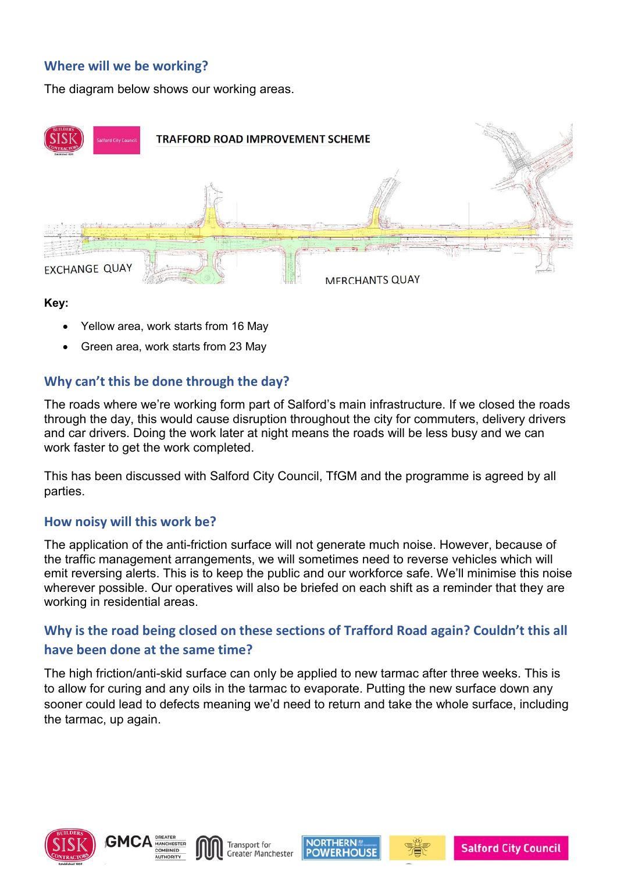## **Where will we be working?**

The diagram below shows our working areas.



#### **Key:**

- Yellow area, work starts from 16 May
- Green area, work starts from 23 May

## **Why can't this be done through the day?**

The roads where we're working form part of Salford's main infrastructure. If we closed the roads through the day, this would cause disruption throughout the city for commuters, delivery drivers and car drivers. Doing the work later at night means the roads will be less busy and we can work faster to get the work completed.

This has been discussed with Salford City Council, TfGM and the programme is agreed by all parties.

#### **How noisy will this work be?**

The application of the anti-friction surface will not generate much noise. However, because of the traffic management arrangements, we will sometimes need to reverse vehicles which will emit reversing alerts. This is to keep the public and our workforce safe. We'll minimise this noise wherever possible. Our operatives will also be briefed on each shift as a reminder that they are working in residential areas.

# **Why is the road being closed on these sections of Trafford Road again? Couldn't this all have been done at the same time?**

The high friction/anti-skid surface can only be applied to new tarmac after three weeks. This is to allow for curing and any oils in the tarmac to evaporate. Putting the new surface down any sooner could lead to defects meaning we'd need to return and take the whole surface, including the tarmac, up again.









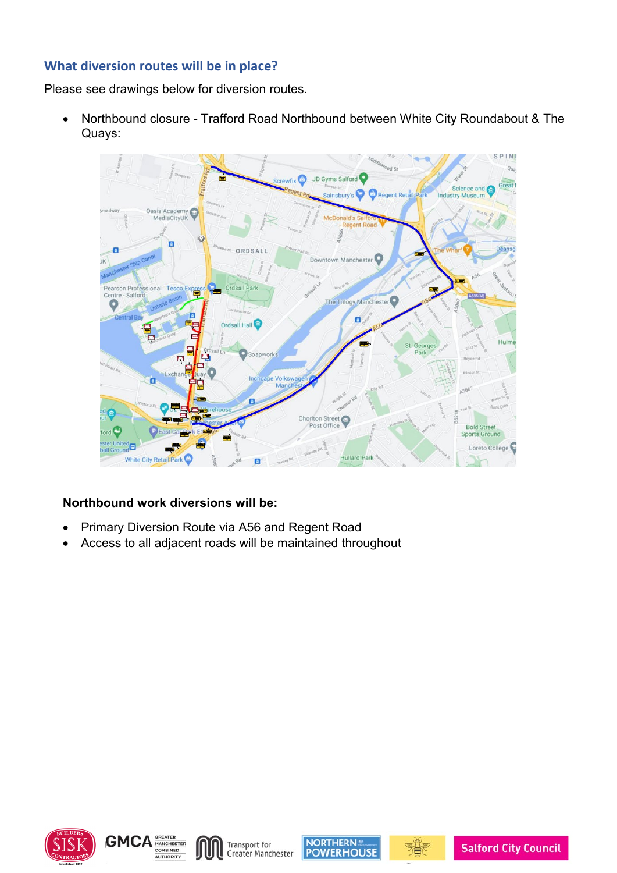## **What diversion routes will be in place?**

Please see drawings below for diversion routes.

• Northbound closure - Trafford Road Northbound between White City Roundabout & The Quays:



#### **Northbound work diversions will be:**

- Primary Diversion Route via A56 and Regent Road
- Access to all adjacent roads will be maintained throughout







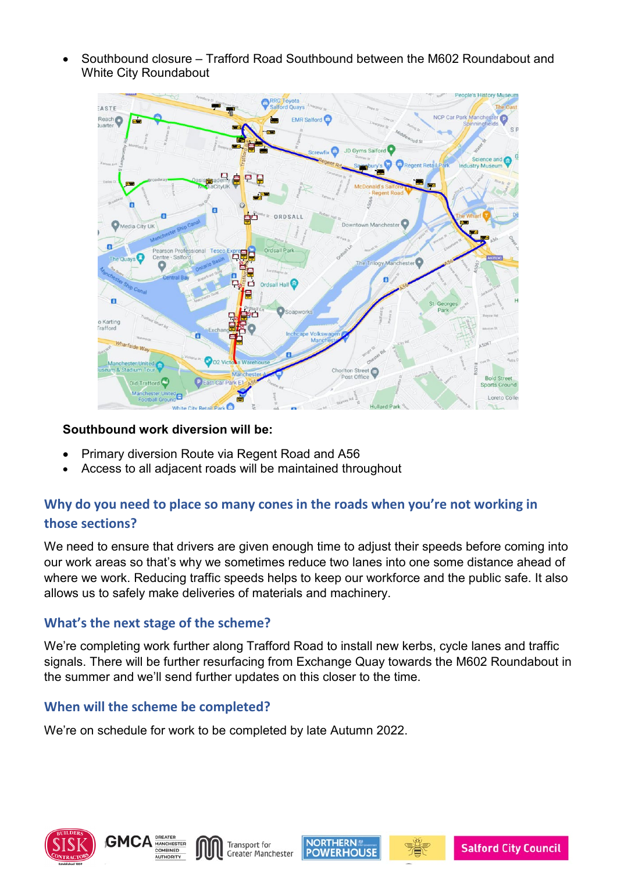• Southbound closure – Trafford Road Southbound between the M602 Roundabout and White City Roundabout



#### **Southbound work diversion will be:**

- Primary diversion Route via Regent Road and A56
- Access to all adjacent roads will be maintained throughout

## **Why do you need to place so many cones in the roads when you're not working in those sections?**

We need to ensure that drivers are given enough time to adjust their speeds before coming into our work areas so that's why we sometimes reduce two lanes into one some distance ahead of where we work. Reducing traffic speeds helps to keep our workforce and the public safe. It also allows us to safely make deliveries of materials and machinery.

## **What's the next stage of the scheme?**

We're completing work further along Trafford Road to install new kerbs, cycle lanes and traffic signals. There will be further resurfacing from Exchange Quay towards the M602 Roundabout in the summer and we'll send further updates on this closer to the time.

#### **When will the scheme be completed?**

We're on schedule for work to be completed by late Autumn 2022.